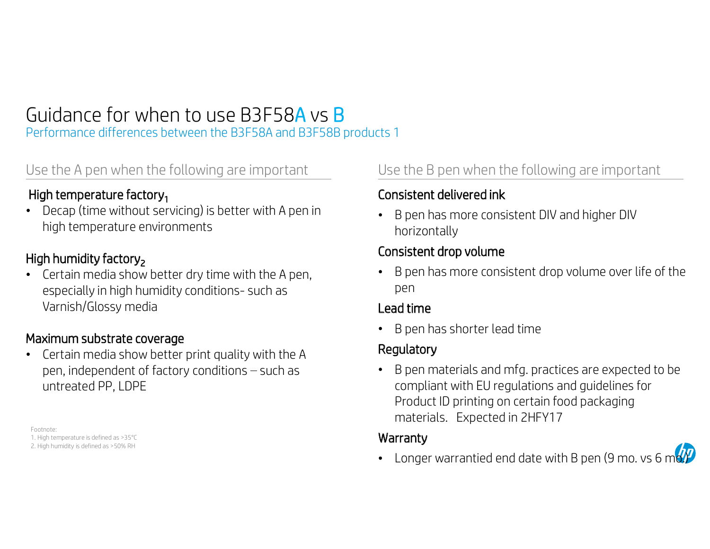# Guidance for when to use B3F58A vs B<br>
Performance differences between the B3F58A and B3F58B products 1<br>
Use the A pen when the following are important<br>
High temperature factory<sub>1</sub> Consistent delivered ink

Performance differences between the B3F58A and B3F58B products 1

Guidance for when to use B3F58A vs B<br>
Performance differences between the B3F58A and B3F58B products 1<br>
Use the A pen when the following are important<br> **High temperature factory<sub>1</sub>**<br>
Decap (time without servicing) is bett **High temperature factory<sub>1</sub>**<br>• Decap (time without servicing) is better with A pen in high temperature environments

# High humidity factory<sub>2</sub>

Certain media show better dry time with the A pen, especially in temperature factory<sub>1</sub><br>Decap (time without servicing) is better with A pen in<br>high temperature environments<br>**h humidity factory<sub>2</sub>**<br>Certain media show better dry time with the A pen,<br>especially in high humidi Varnish/Glossy media

### Maximum substrate coverage

Certain media show better print quality with the A pen, independent of factory conditions  $-$  such as untreated PP, LDPE **Aaximum substrate coverage**<br>Certain media show better prin<br>pen, independent of factory coluntreated PP, LDPE<br>EFootnote:<br>Footnote:<br>1. High temperature is defined as >35°C<br>2. High humidity is defined as >50% RH **Aaximum substrate coverage**<br>
Certain media show better<br>
pen, independent of factor<br>
untreated PP, LDPE<br>
Footnote:<br>
1. High temperature is defined as >35°C<br>
2. High humidity is defined as >50% RH

Footnote:

## Consistent delivered ink

B pen has more consistent DIV and higher DIV horizontally

## Consistent drop volume

B pen has more consistent drop volume over life of the pen

### Lead time

• B pen has shorter lead time

## Regulatory

B pen materials and mfg. practices are expected to be compliant with EU regulations and guidelines for Product ID printing on certain food packaging materials. Expected in 2HFY17

### **Warranty**

• Longer warrantied end date with B pen (9 mo. vs 6 m $\sigma$